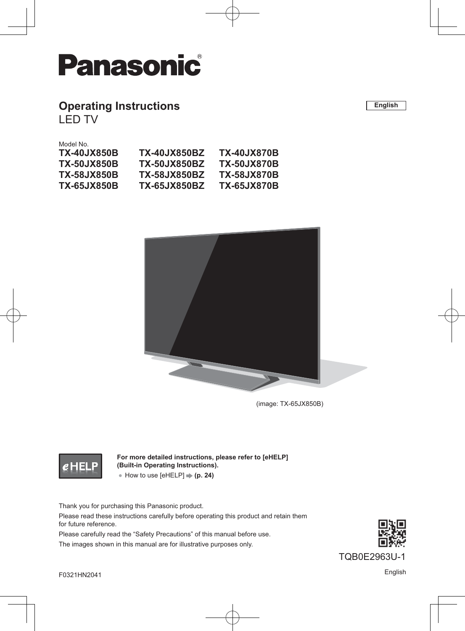

## **Operating Instructions**

LED TV

Model No.

| TX-40.JX850B       | TX-40.JX850BZ       | <b>TX-40JX870B</b> |
|--------------------|---------------------|--------------------|
| <b>TX-50JX850B</b> | <b>TX-50JX850BZ</b> | <b>TX-50JX870B</b> |
| <b>TX-58JX850B</b> | <b>TX-58JX850BZ</b> | <b>TX-58JX870B</b> |
| <b>TX-65JX850B</b> | <b>TX-65JX850BZ</b> | <b>TX-65JX870B</b> |
|                    |                     |                    |



(image: TX-65JX850B)

## $e$ HEI

**For more detailed instructions, please refer to [eHELP] (Built-in Operating Instructions).** ● How to use [eHELP]  $\Rightarrow$  (**p. 24**)

Thank you for purchasing this Panasonic product.

Please read these instructions carefully before operating this product and retain them for future reference.

Please carefully read the "Safety Precautions" of this manual before use. The images shown in this manual are for illustrative purposes only.



TQB0E2963U-1

**English**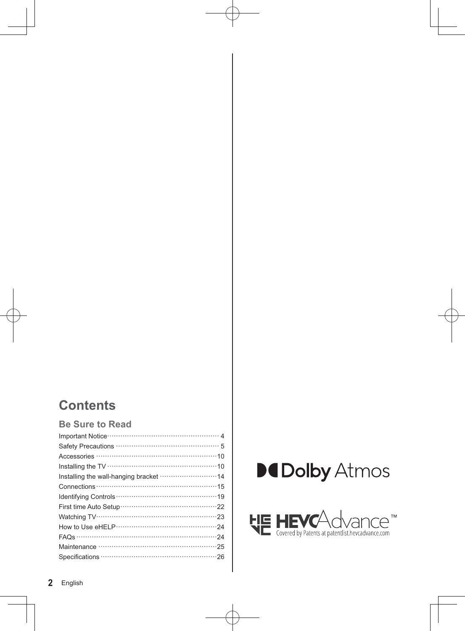## **Contents**

## Be Sure to Read

| Installing the wall-hanging bracket  14 |
|-----------------------------------------|
|                                         |
|                                         |
|                                         |
|                                         |
|                                         |
|                                         |
|                                         |
|                                         |



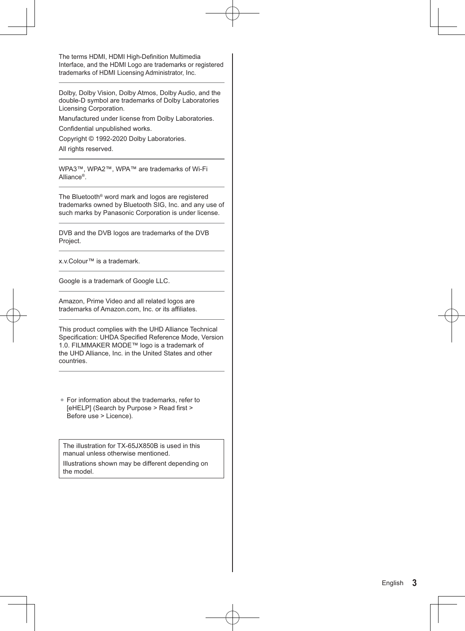The terms HDMI, HDMI High-Definition Multimedia Interface, and the HDMI Logo are trademarks or registered trademarks of HDMI Licensing Administrator, Inc.

Dolby, Dolby Vision, Dolby Atmos, Dolby Audio, and the double-D symbol are trademarks of Dolby Laboratories Licensing Corporation.

Manufactured under license from Dolby Laboratories.

Confidential unpublished works.

Copyright © 1992-2020 Dolby Laboratories.

All rights reserved.

WPA3™, WPA2™, WPA™ are trademarks of Wi-Fi Alliance®.

The Bluetooth® word mark and logos are registered trademarks owned by Bluetooth SIG, Inc. and any use of such marks by Panasonic Corporation is under license.

DVB and the DVB logos are trademarks of the DVB Project.

x.v.Colour™ is a trademark.

Google is a trademark of Google LLC.

Amazon, Prime Video and all related logos are trademarks of Amazon.com, Inc. or its affiliates.

This product complies with the UHD Alliance Technical Specification: UHDA Specified Reference Mode, Version 1.0. FILMMAKER MODE™ logo is a trademark of the UHD Alliance, Inc. in the United States and other countries.

-For information about the trademarks, refer to [eHELP] (Search by Purpose > Read first > Before use > Licence).

The illustration for TX-65JX850B is used in this manual unless otherwise mentioned. Illustrations shown may be different depending on the model.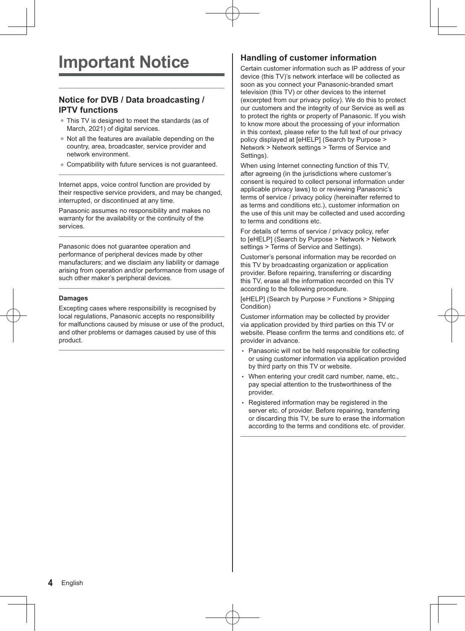## **Notice for DVB / Data broadcasting / IPTV functions**

- This TV is designed to meet the standards (as of March, 2021) of digital services.
- -Not all the features are available depending on the country, area, broadcaster, service provider and network environment.
- -Compatibility with future services is not guaranteed.

Internet apps, voice control function are provided by their respective service providers, and may be changed, interrupted, or discontinued at any time.

Panasonic assumes no responsibility and makes no warranty for the availability or the continuity of the services.

Panasonic does not guarantee operation and performance of peripheral devices made by other manufacturers; and we disclaim any liability or damage arising from operation and/or performance from usage of such other maker's peripheral devices.

#### **Damages**

Excepting cases where responsibility is recognised by local regulations, Panasonic accepts no responsibility for malfunctions caused by misuse or use of the product, and other problems or damages caused by use of this product.

## **Handling of customer information**

Certain customer information such as IP address of your device (this TV)'s network interface will be collected as soon as you connect your Panasonic-branded smart television (this TV) or other devices to the internet (excerpted from our privacy policy). We do this to protect our customers and the integrity of our Service as well as to protect the rights or property of Panasonic. If you wish to know more about the processing of your information in this context, please refer to the full text of our privacy policy displayed at [eHELP] (Search by Purpose > Network > Network settings > Terms of Service and Settings).

When using Internet connecting function of this TV, after agreeing (in the jurisdictions where customer's consent is required to collect personal information under applicable privacy laws) to or reviewing Panasonic's terms of service / privacy policy (hereinafter referred to as terms and conditions etc.), customer information on the use of this unit may be collected and used according to terms and conditions etc.

For details of terms of service / privacy policy, refer to [eHELP] (Search by Purpose > Network > Network settings > Terms of Service and Settings).

Customer's personal information may be recorded on this TV by broadcasting organization or application provider. Before repairing, transferring or discarding this TV, erase all the information recorded on this TV according to the following procedure.

[eHELP] (Search by Purpose > Functions > Shipping Condition)

Customer information may be collected by provider via application provided by third parties on this TV or website. Please confirm the terms and conditions etc. of provider in advance.

- Panasonic will not be held responsible for collecting or using customer information via application provided by third party on this TV or website.
- When entering your credit card number, name, etc., pay special attention to the trustworthiness of the provider.
- Registered information may be registered in the server etc. of provider. Before repairing, transferring or discarding this TV, be sure to erase the information according to the terms and conditions etc. of provider.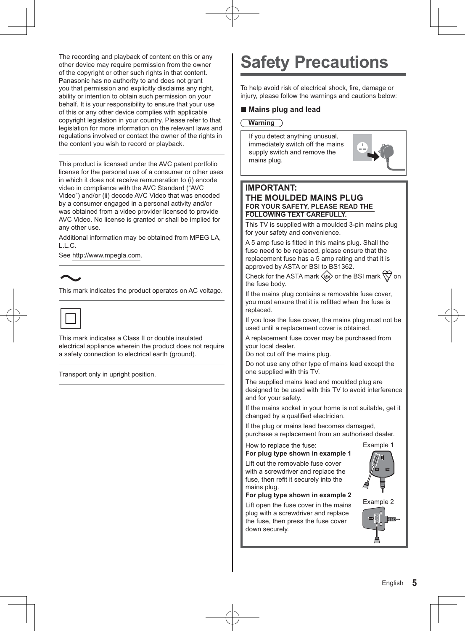The recording and playback of content on this or any other device may require permission from the owner of the copyright or other such rights in that content. Panasonic has no authority to and does not grant you that permission and explicitly disclaims any right, ability or intention to obtain such permission on your behalf. It is your responsibility to ensure that your use of this or any other device complies with applicable copyright legislation in your country. Please refer to that legislation for more information on the relevant laws and regulations involved or contact the owner of the rights in the content you wish to record or playback.

This product is licensed under the AVC patent portfolio license for the personal use of a consumer or other uses in which it does not receive remuneration to (i) encode video in compliance with the AVC Standard ("AVC Video") and/or (ii) decode AVC Video that was encoded by a consumer engaged in a personal activity and/or was obtained from a video provider licensed to provide AVC Video. No license is granted or shall be implied for any other use.

Additional information may be obtained from MPEG LA, L.L.C.

See http://www.mpegla.com.

This mark indicates the product operates on AC voltage.



This mark indicates a Class II or double insulated electrical appliance wherein the product does not require a safety connection to electrical earth (ground).

Transport only in upright position.

# **Safety Precautions**

To help avoid risk of electrical shock, fire, damage or injury, please follow the warnings and cautions below:

## **- Mains plug and lead**

#### **Warning**

If you detect anything unusual, immediately switch off the mains supply switch and remove the mains plug.



### **IMPORTANT: THE MOULDED MAINS PLUG FOR YOUR SAFETY, PLEASE READ THE FOLLOWING TEXT CAREFULLY.**

This TV is supplied with a moulded 3-pin mains plug for your safety and convenience.

A 5 amp fuse is fitted in this mains plug. Shall the fuse need to be replaced, please ensure that the replacement fuse has a 5 amp rating and that it is approved by ASTA or BSI to BS1362.

Check for the ASTA mark  $\langle \overline{\text{sp}} \rangle$  or the BSI mark  $\langle \overline{\text{sp}} \rangle$  on the fuse body.

If the mains plug contains a removable fuse cover, you must ensure that it is refitted when the fuse is replaced.

If you lose the fuse cover, the mains plug must not be used until a replacement cover is obtained.

A replacement fuse cover may be purchased from your local dealer.

Do not cut off the mains plug.

Do not use any other type of mains lead except the one supplied with this TV.

The supplied mains lead and moulded plug are designed to be used with this TV to avoid interference and for your safety.

If the mains socket in your home is not suitable, get it changed by a qualified electrician.

If the plug or mains lead becomes damaged, purchase a replacement from an authorised dealer.

How to replace the fuse: Example 1 **For plug type shown in example 1**

Lift out the removable fuse cover with a screwdriver and replace the fuse, then refit it securely into the mains plug.



Lift open the fuse cover in the mains plug with a screwdriver and replace the fuse, then press the fuse cover down securely.

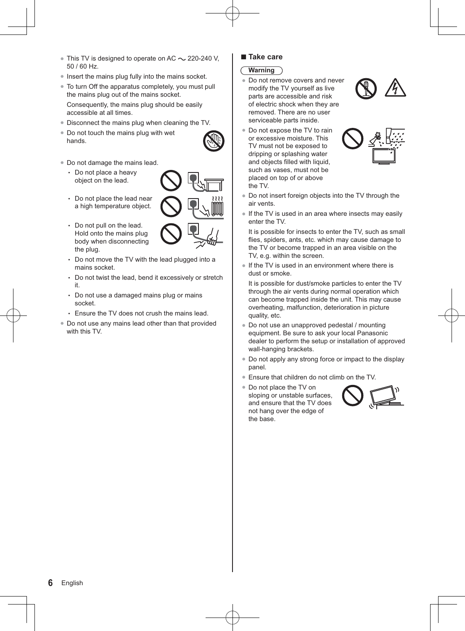- $\bullet$  This TV is designed to operate on AC  $\sim$  220-240 V, 50 / 60 Hz.
- Insert the mains plug fully into the mains socket.
- To turn Off the apparatus completely, you must pull the mains plug out of the mains socket. Consequently, the mains plug should be easily accessible at all times.
- Disconnect the mains plug when cleaning the TV.
- Do not touch the mains plug with wet hands.
- 
- -Do not damage the mains lead.
	- Do not place a heavy object on the lead.



- Do not place the lead near a high temperature object.
- Do not pull on the lead. Hold onto the mains plug body when disconnecting the plug.
- Do not move the TV with the lead plugged into a mains socket.
- Do not twist the lead, bend it excessively or stretch it.
- Do not use a damaged mains plug or mains socket.
- Ensure the TV does not crush the mains lead.
- Do not use any mains lead other than that provided with this TV

## **- Take care**

- **Warning**
- -Do not remove covers and never modify the TV yourself as live parts are accessible and risk of electric shock when they are removed. There are no user serviceable parts inside.







- Do not insert foreign objects into the TV through the air vents.
- If the TV is used in an area where insects may easily enter the TV.

It is possible for insects to enter the TV, such as small flies, spiders, ants, etc. which may cause damage to the TV or become trapped in an area visible on the TV, e.g. within the screen.

• If the TV is used in an environment where there is dust or smoke.

It is possible for dust/smoke particles to enter the TV through the air vents during normal operation which can become trapped inside the unit. This may cause overheating, malfunction, deterioration in picture quality, etc.

- Do not use an unapproved pedestal / mounting equipment. Be sure to ask your local Panasonic dealer to perform the setup or installation of approved wall-hanging brackets.
- -Do not apply any strong force or impact to the display panel.
- -Ensure that children do not climb on the TV.
- Do not place the TV on sloping or unstable surfaces, and ensure that the TV does not hang over the edge of the base.

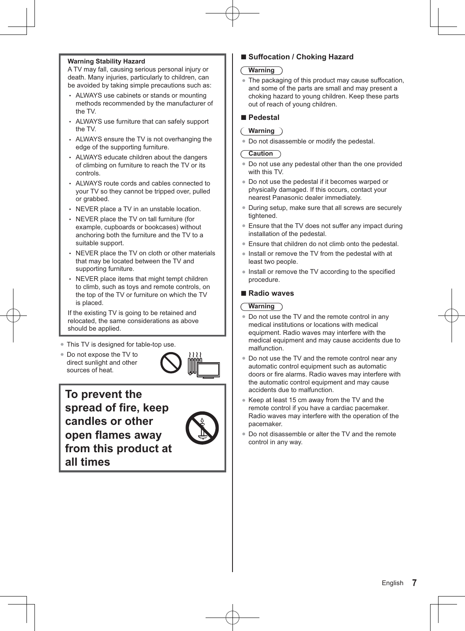#### **Warning Stability Hazard**

A TV may fall, causing serious personal injury or death. Many injuries, particularly to children, can be avoided by taking simple precautions such as:

- ALWAYS use cabinets or stands or mounting methods recommended by the manufacturer of the TV.
- ALWAYS use furniture that can safely support the TV.
- ALWAYS ensure the TV is not overhanging the edge of the supporting furniture.
- ALWAYS educate children about the dangers of climbing on furniture to reach the TV or its controls.
- ALWAYS route cords and cables connected to your TV so they cannot be tripped over, pulled or grabbed.
- NEVER place a TV in an unstable location.
- NEVER place the TV on tall furniture (for example, cupboards or bookcases) without anchoring both the furniture and the TV to a suitable support.
- NEVER place the TV on cloth or other materials that may be located between the TV and supporting furniture.
- NEVER place items that might tempt children to climb, such as toys and remote controls, on the top of the TV or furniture on which the TV is placed.

If the existing TV is going to be retained and relocated, the same considerations as above should be applied.

- -This TV is designed for table-top use.
- Do not expose the TV to direct sunlight and other sources of heat.



**To prevent the spread of fire, keep candles or other open flames away from this product at all times**



## **- Suffocation / Choking Hazard**

### **Warning**

• The packaging of this product may cause suffocation, and some of the parts are small and may present a choking hazard to young children. Keep these parts out of reach of young children.

## **- Pedestal**

#### **Warning**

-Do not disassemble or modify the pedestal.

#### **Caution**

- -Do not use any pedestal other than the one provided with this TV.
- Do not use the pedestal if it becomes warped or physically damaged. If this occurs, contact your nearest Panasonic dealer immediately.
- During setup, make sure that all screws are securely tightened.
- Ensure that the TV does not suffer any impact during installation of the pedestal.
- -Ensure that children do not climb onto the pedestal.
- Install or remove the TV from the pedestal with at least two people.
- Install or remove the TV according to the specified procedure.

## **- Radio waves**

#### **Warning**

- Do not use the TV and the remote control in any medical institutions or locations with medical equipment. Radio waves may interfere with the medical equipment and may cause accidents due to malfunction.
- Do not use the TV and the remote control near any automatic control equipment such as automatic doors or fire alarms. Radio waves may interfere with the automatic control equipment and may cause accidents due to malfunction.
- Keep at least 15 cm away from the TV and the remote control if you have a cardiac pacemaker. Radio waves may interfere with the operation of the pacemaker.
- Do not disassemble or alter the TV and the remote control in any way.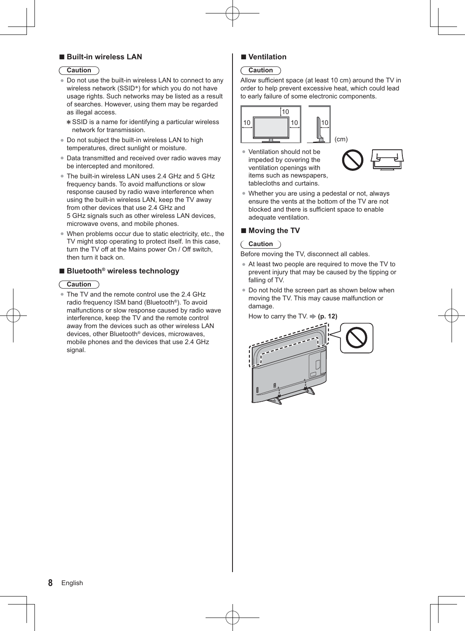## **- Built-in wireless LAN**

#### **Caution**

- -Do not use the built-in wireless LAN to connect to any wireless network (SSID\*) for which you do not have usage rights. Such networks may be listed as a result of searches. However, using them may be regarded as illegal access.
	- SSID is a name for identifying a particular wireless network for transmission.
- Do not subject the built-in wireless LAN to high temperatures, direct sunlight or moisture.
- Data transmitted and received over radio waves may be intercepted and monitored.
- The built-in wireless LAN uses 2.4 GHz and 5 GHz frequency bands. To avoid malfunctions or slow response caused by radio wave interference when using the built-in wireless LAN, keep the TV away from other devices that use 2.4 GHz and 5 GHz signals such as other wireless LAN devices, microwave ovens, and mobile phones.
- -When problems occur due to static electricity, etc., the TV might stop operating to protect itself. In this case, turn the TV off at the Mains power On / Off switch, then turn it back on.

## **- Bluetooth® wireless technology**

#### **Caution**

• The TV and the remote control use the 2.4 GHz radio frequency ISM band (Bluetooth®). To avoid malfunctions or slow response caused by radio wave interference, keep the TV and the remote control away from the devices such as other wireless LAN devices, other Bluetooth® devices, microwaves, mobile phones and the devices that use 2.4 GHz signal.

## **- Ventilation**

## **Caution**

Allow sufficient space (at least 10 cm) around the TV in order to help prevent excessive heat, which could lead to early failure of some electronic components.



• Ventilation should not be impeded by covering the ventilation openings with items such as newspapers tablecloths and curtains.



• Whether you are using a pedestal or not, always ensure the vents at the bottom of the TV are not blocked and there is sufficient space to enable adequate ventilation.

## **- Moving the TV**

### **Caution**

Before moving the TV, disconnect all cables.

- At least two people are required to move the TV to prevent injury that may be caused by the tipping or falling of TV.
- Do not hold the screen part as shown below when moving the TV. This may cause malfunction or damage.

How to carry the TV.  $\Rightarrow$  (p. 12)

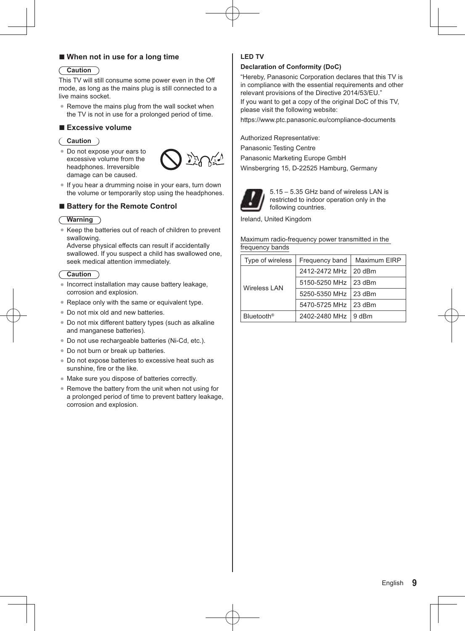## **- When not in use for a long time**

#### **Caution**

This TV will still consume some power even in the Off mode, as long as the mains plug is still connected to a live mains socket.

• Remove the mains plug from the wall socket when the TV is not in use for a prolonged period of time.

## **- Excessive volume**

#### **Caution**

• Do not expose your ears to excessive volume from the headphones. Irreversible damage can be caused.



-If you hear a drumming noise in your ears, turn down the volume or temporarily stop using the headphones.

## **- Battery for the Remote Control**

#### **Warning**

• Keep the batteries out of reach of children to prevent swallowing.

Adverse physical effects can result if accidentally swallowed. If you suspect a child has swallowed one, seek medical attention immediately.

#### **Caution** €

- -Incorrect installation may cause battery leakage, corrosion and explosion.
- Replace only with the same or equivalent type.
- Do not mix old and new batteries.
- Do not mix different battery types (such as alkaline and manganese batteries).
- Do not use rechargeable batteries (Ni-Cd, etc.).
- Do not burn or break up batteries.
- -Do not expose batteries to excessive heat such as sunshine, fire or the like.
- -Make sure you dispose of batteries correctly.
- Remove the battery from the unit when not using for a prolonged period of time to prevent battery leakage, corrosion and explosion.

### **LED TV**

#### **Declaration of Conformity (DoC)**

"Hereby, Panasonic Corporation declares that this TV is in compliance with the essential requirements and other relevant provisions of the Directive 2014/53/EU."

If you want to get a copy of the original DoC of this TV, please visit the following website:

https://www.ptc.panasonic.eu/compliance-documents

Authorized Representative:

Panasonic Testing Centre

Panasonic Marketing Europe GmbH

Winsbergring 15, D-22525 Hamburg, Germany



5.15 – 5.35 GHz band of wireless LAN is restricted to indoor operation only in the following countries.

Ireland, United Kingdom

#### Maximum radio-frequency power transmitted in the frequency bands

| Type of wireless       | Frequency band         | Maximum EIRP |
|------------------------|------------------------|--------------|
| <b>Wireless LAN</b>    | 2412-2472 MHz   20 dBm |              |
|                        | 5150-5250 MHz   23 dBm |              |
|                        | 5250-5350 MHz 23 dBm   |              |
|                        | 5470-5725 MHz 23 dBm   |              |
| Bluetooth <sup>®</sup> | 2402-2480 MHz 19 dBm   |              |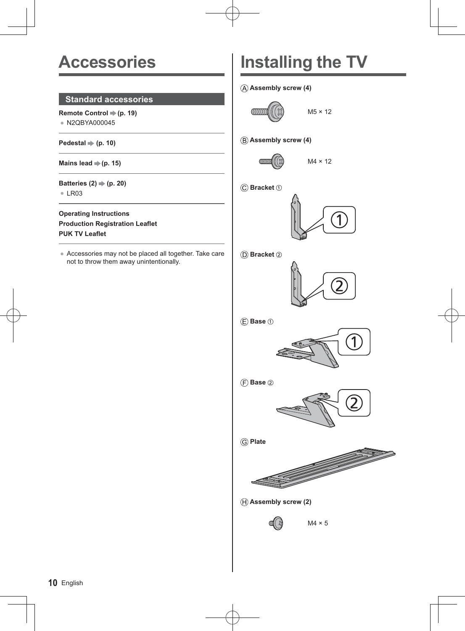## **Accessories**

## **Standard accessories**

Remote Control  $\Rightarrow$  (p. 19) • N2QBYA000045

Pedestal  $\Rightarrow$  (p. 10)

Mains lead  $(p. 15)$ 

Batteries  $(2) \Rightarrow (p. 20)$  $\bullet$  LR03

**Operating Instructions Production Registration Leaflet PUK TV Leaflet**

-Accessories may not be placed all together. Take care not to throw them away unintentionally.

# **Installing the TV**

 **Assembly screw (4)**

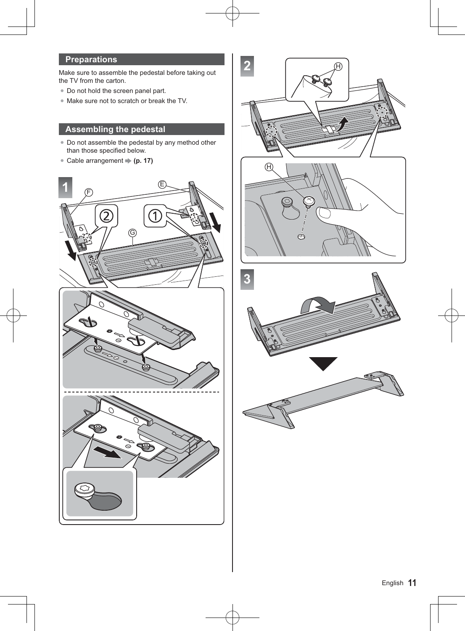## **Preparations**

Make sure to assemble the pedestal before taking out the TV from the carton.

- Do not hold the screen panel part.
- -Make sure not to scratch or break the TV.

## **Assembling the pedestal**

- Do not assemble the pedestal by any method other than those specified below.
- Cable arrangement **→ (p. 17)**



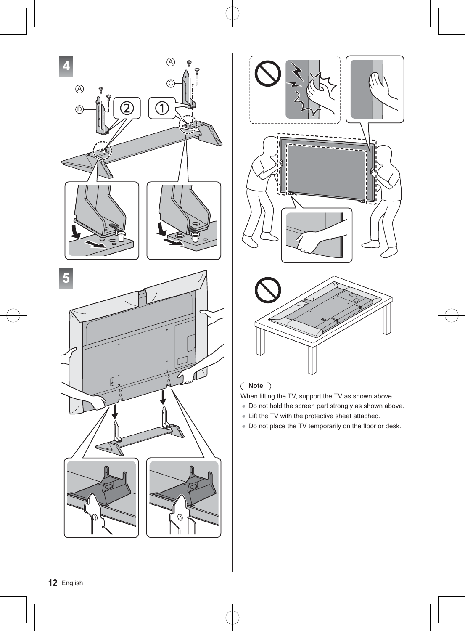



## **Note**

- When lifting the TV, support the TV as shown above.
- Do not hold the screen part strongly as shown above.
- Lift the TV with the protective sheet attached.
- -Do not place the TV temporarily on the floor or desk.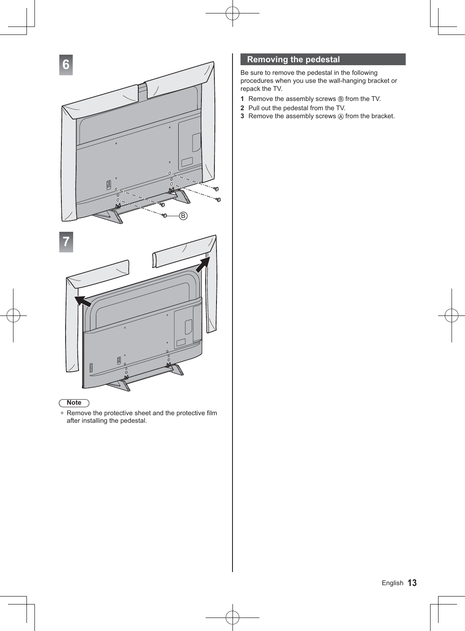

## **Note**

• Remove the protective sheet and the protective film after installing the pedestal.

## **Removing the pedestal**

Be sure to remove the pedestal in the following procedures when you use the wall-hanging bracket or repack the TV.

- **1** Remove the assembly screws  $\circledB$  from the TV.
- **2** Pull out the pedestal from the TV.
- **3** Remove the assembly screws  $\textcircled{a}$  from the bracket.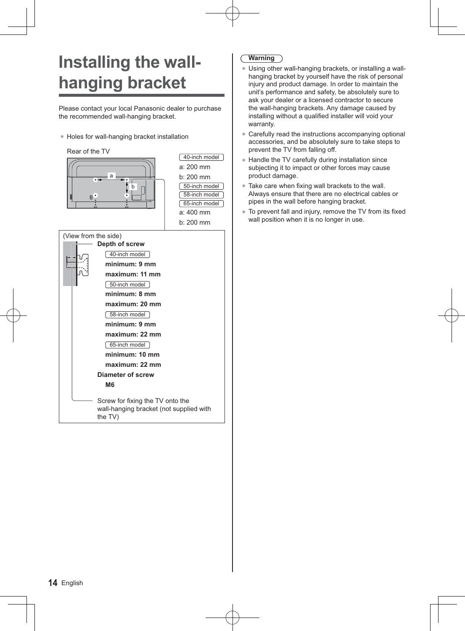# **Installing the wallhanging bracket**

Please contact your local Panasonic dealer to purchase the recommended wall-hanging bracket.

-Holes for wall-hanging bracket installation



## **Warning**

- -Using other wall-hanging brackets, or installing a wallhanging bracket by yourself have the risk of personal injury and product damage. In order to maintain the unit's performance and safety, be absolutely sure to ask your dealer or a licensed contractor to secure the wall-hanging brackets. Any damage caused by installing without a qualified installer will void your warranty.
- -Carefully read the instructions accompanying optional accessories, and be absolutely sure to take steps to prevent the TV from falling off.
- Handle the TV carefully during installation since subjecting it to impact or other forces may cause product damage.
- Take care when fixing wall brackets to the wall. Always ensure that there are no electrical cables or pipes in the wall before hanging bracket.
- To prevent fall and injury, remove the TV from its fixed wall position when it is no longer in use.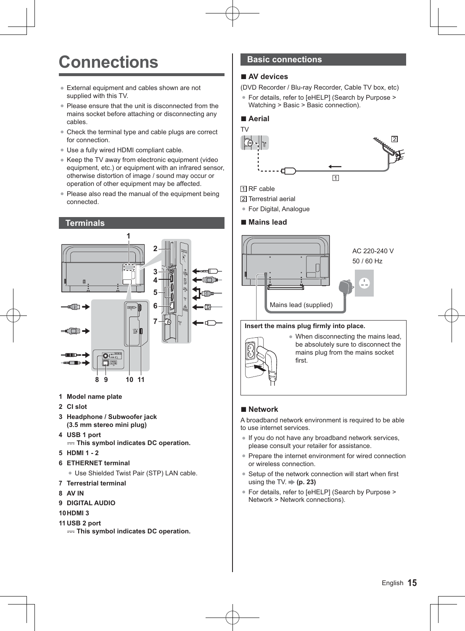## **Connections**

- External equipment and cables shown are not supplied with this TV.
- Please ensure that the unit is disconnected from the mains socket before attaching or disconnecting any cables.
- Check the terminal type and cable plugs are correct for connection.
- -Use a fully wired HDMI compliant cable.
- Keep the TV away from electronic equipment (video equipment, etc.) or equipment with an infrared sensor, otherwise distortion of image / sound may occur or operation of other equipment may be affected.
- Please also read the manual of the equipment being connected.



- **1 Model name plate**
- **2 CI slot**
- **3 Headphone / Subwoofer jack (3.5 mm stereo mini plug)**
- **4 USB 1 port**

 $=$  **This symbol indicates DC operation.** 

- **5 HDMI 1 2**
- **6 ETHERNET terminal**
	- Use Shielded Twist Pair (STP) LAN cable.
- **7 Terrestrial terminal**
- **8 AV IN**
- **9 DIGITAL AUDIO**
- **10 HDMI 3**
- **11 USB 2 port** 
	- $==$  **This symbol indicates DC operation.**

## **Basic connections**

## **- AV devices**

(DVD Recorder / Blu-ray Recorder, Cable TV box, etc)

● For details, refer to [eHELP] (Search by Purpose > Watching > Basic > Basic connection).

## **- Aerial**



## **N** RF cable

[2] Terrestrial aerial

● For Digital, Analogue

## **- Mains lead**



#### **Insert the mains plug firmly into place.**



• When disconnecting the mains lead, be absolutely sure to disconnect the mains plug from the mains socket first.

## **- Network**

A broadband network environment is required to be able to use internet services.

- -If you do not have any broadband network services, please consult your retailer for assistance.
- Prepare the internet environment for wired connection or wireless connection.
- Setup of the network connection will start when first using the TV. **(p. 23)**
- -For details, refer to [eHELP] (Search by Purpose > Network > Network connections).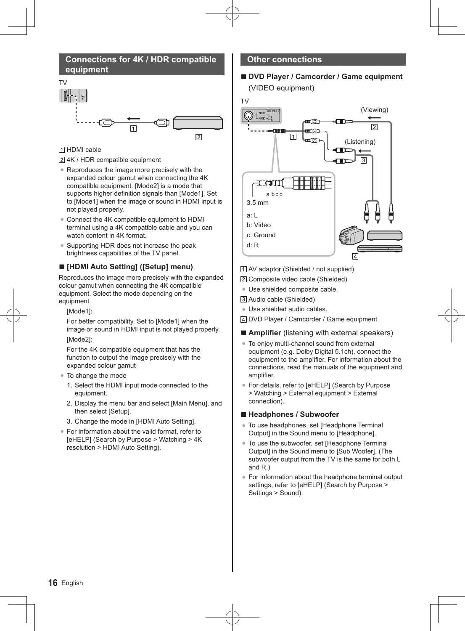## **Connections for 4K / HDR compatible equipment**



## **TI HDMI** cable

4K / HDR compatible equipment

- Reproduces the image more precisely with the expanded colour gamut when connecting the 4K compatible equipment. [Mode2] is a mode that supports higher definition signals than [Mode1]. Set to [Mode1] when the image or sound in HDMI input is not played properly.
- Connect the 4K compatible equipment to HDMI terminal using a 4K compatible cable and you can watch content in 4K format.
- -Supporting HDR does not increase the peak brightness capabilities of the TV panel.

## **- [HDMI Auto Setting] ([Setup] menu)**

Reproduces the image more precisely with the expanded colour gamut when connecting the 4K compatible equipment. Select the mode depending on the equipment.

[Mode1]:

For better compatibility. Set to [Mode1] when the image or sound in HDMI input is not played properly. [Mode2]:

For the 4K compatible equipment that has the function to output the image precisely with the expanded colour gamut

- -To change the mode
	- 1. Select the HDMI input mode connected to the equipment.
	- 2. Display the menu bar and select [Main Menu], and then select [Setup].
	- 3. Change the mode in [HDMI Auto Setting].
- For information about the valid format, refer to [eHELP] (Search by Purpose > Watching > 4K resolution > HDMI Auto Setting).

### **Other connections**

## **- DVD Player / Camcorder / Game equipment** (VIDEO equipment)

TV



- AV adaptor (Shielded / not supplied)
- Composite video cable (Shielded)
- -Use shielded composite cable.
- Audio cable (Shielded)
- · Use shielded audio cables.
- DVD Player / Camcorder / Game equipment
- **- Amplifier** (listening with external speakers)
- -To enjoy multi-channel sound from external equipment (e.g. Dolby Digital 5.1ch), connect the equipment to the amplifier. For information about the connections, read the manuals of the equipment and amplifier.
- For details, refer to [eHELP] (Search by Purpose > Watching > External equipment > External connection).

## **- Headphones / Subwoofer**

- -To use headphones, set [Headphone Terminal Output] in the Sound menu to [Headphone].
- -To use the subwoofer, set [Headphone Terminal Output] in the Sound menu to [Sub Woofer]. (The subwoofer output from the TV is the same for both L and R.)
- -For information about the headphone terminal output settings, refer to [eHELP] (Search by Purpose > Settings > Sound).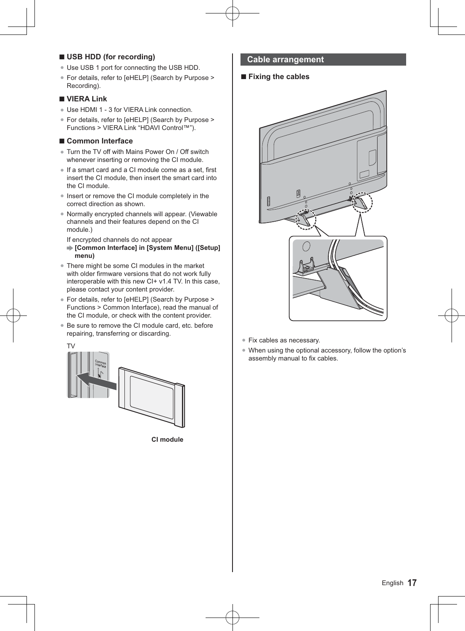## **- USB HDD (for recording)**

- Use USB 1 port for connecting the USB HDD.
- -For details, refer to [eHELP] (Search by Purpose > Recording).

## **- VIERA Link**

- Use HDMI 1 3 for VIERA Link connection.
- -For details, refer to [eHELP] (Search by Purpose > Functions > VIERA Link "HDAVI Control™").

## **- Common Interface**

- Turn the TV off with Mains Power On / Off switch whenever inserting or removing the CI module.
- If a smart card and a CI module come as a set, first insert the CI module, then insert the smart card into the CI module.
- Insert or remove the CI module completely in the correct direction as shown.
- -Normally encrypted channels will appear. (Viewable channels and their features depend on the CI module.)

If encrypted channels do not appear

- **[Common Interface] in [System Menu] ([Setup] menu)**
- There might be some CI modules in the market with older firmware versions that do not work fully interoperable with this new CI+ v1.4 TV. In this case, please contact your content provider.
- -For details, refer to [eHELP] (Search by Purpose > Functions > Common Interface), read the manual of the CI module, or check with the content provider.
- Be sure to remove the CI module card, etc. before repairing, transferring or discarding.



**CI module**

## **Cable arrangement**

## **- Fixing the cables**



- Fix cables as necessary.
- -When using the optional accessory, follow the option's assembly manual to fix cables.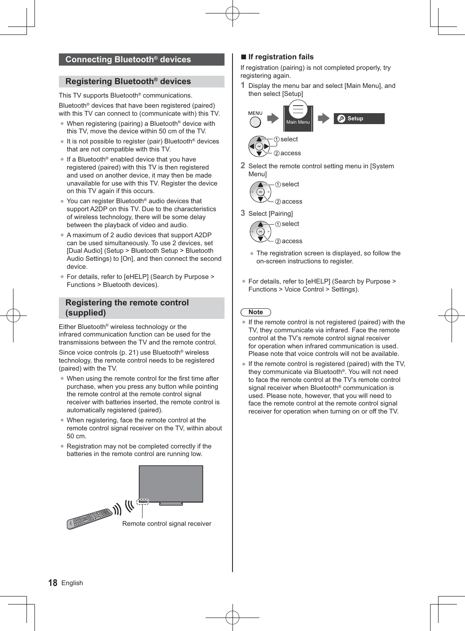## **Registering Bluetooth® devices**

This TV supports Bluetooth® communications. Bluetooth® devices that have been registered (paired) with this TV can connect to (communicate with) this TV.

- When registering (pairing) a Bluetooth<sup>®</sup> device with this TV, move the device within 50 cm of the TV.
- It is not possible to register (pair) Bluetooth<sup>®</sup> devices that are not compatible with this TV.
- If a Bluetooth<sup>®</sup> enabled device that you have registered (paired) with this TV is then registered and used on another device, it may then be made unavailable for use with this TV. Register the device on this TV again if this occurs.
- You can register Bluetooth<sup>®</sup> audio devices that support A2DP on this TV. Due to the characteristics of wireless technology, there will be some delay between the playback of video and audio.
- A maximum of 2 audio devices that support A2DP can be used simultaneously. To use 2 devices, set [Dual Audio] (Setup > Bluetooth Setup > Bluetooth Audio Settings) to [On], and then connect the second device.
- -For details, refer to [eHELP] (Search by Purpose > Functions > Bluetooth devices).

## **Registering the remote control (supplied)**

Either Bluetooth® wireless technology or the infrared communication function can be used for the transmissions between the TV and the remote control.

Since voice controls (p. 21) use Bluetooth® wireless technology, the remote control needs to be registered (paired) with the TV.

- When using the remote control for the first time after purchase, when you press any button while pointing the remote control at the remote control signal receiver with batteries inserted, the remote control is automatically registered (paired).
- When registering, face the remote control at the remote control signal receiver on the TV, within about 50 cm.
- Registration may not be completed correctly if the batteries in the remote control are running low.



## **- If registration fails**

If registration (pairing) is not completed properly, try registering again.

**1** Display the menu bar and select [Main Menu], and then select [Setup]



**2** Select the remote control setting menu in [System Menu]



**3** Select [Pairing]



- The registration screen is displayed, so follow the on-screen instructions to register.
- For details, refer to [eHELP] (Search by Purpose > Functions > Voice Control > Settings).

## **Note**

- -If the remote control is not registered (paired) with the TV, they communicate via infrared. Face the remote control at the TV's remote control signal receiver for operation when infrared communication is used. Please note that voice controls will not be available.
- If the remote control is registered (paired) with the TV, they communicate via Bluetooth®. You will not need to face the remote control at the TV's remote control signal receiver when Bluetooth<sup>®</sup> communication is used. Please note, however, that you will need to face the remote control at the remote control signal receiver for operation when turning on or off the TV.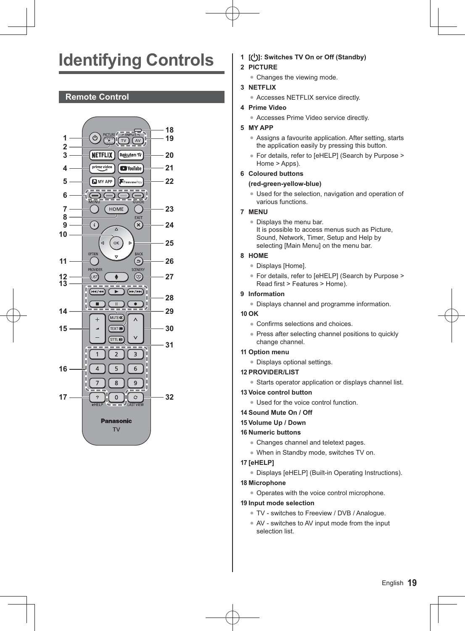# **Identifying Controls**

## **Remote Control**



- **1 [ ]: Switches TV On or Off (Standby)**
- **2 PICTURE**
	- Changes the viewing mode.
- **3 NETFLIX**
	- Accesses NETFLIX service directly.
- **4 Prime Video**
	- Accesses Prime Video service directly.

## **5 MY APP**

- Assigns a favourite application. After setting, starts the application easily by pressing this button.
- For details, refer to [eHELP] (Search by Purpose > Home > Apps).

## **6 Coloured buttons**

## **(red-green-yellow-blue)**

• Used for the selection, navigation and operation of various functions.

### **7 MENU**

• Displays the menu bar. It is possible to access menus such as Picture, Sound, Network, Timer, Setup and Help by selecting [Main Menu] on the menu bar.

## **8 HOME**

- Displays [Home].
- -For details, refer to [eHELP] (Search by Purpose > Read first > Features > Home).

## **9 Information**

-Displays channel and programme information.

### **10 OK**

- Confirms selections and choices.
- Press after selecting channel positions to quickly change channel.

#### **11 Option menu**

-Displays optional settings.

## **12 PROVIDER/LIST**

-Starts operator application or displays channel list.

## **13 Voice control button**

• Used for the voice control function.

### **14 Sound Mute On / Off**

## **15 Volume Up / Down**

## **16 Numeric buttons**

- Changes channel and teletext pages.
- -When in Standby mode, switches TV on.

## **17 [eHELP]**

-Displays [eHELP] (Built-in Operating Instructions).

#### **18 Microphone**

-Operates with the voice control microphone.

## **19 Input mode selection**

- -TV switches to Freeview / DVB / Analogue.
- AV switches to AV input mode from the input selection list.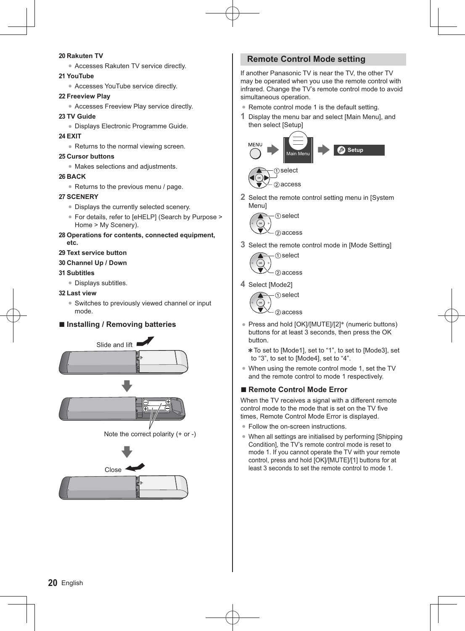#### **20 Rakuten TV**

● Accesses Rakuten TV service directly.

#### **21 YouTube**

• Accesses YouTube service directly.

#### **22 Freeview Play**

-Accesses Freeview Play service directly.

#### **23 TV Guide**

- -Displays Electronic Programme Guide.
- **24 EXIT**
	- Returns to the normal viewing screen.

#### **25 Cursor buttons**

-Makes selections and adjustments.

#### **26 BACK**

• Returns to the previous menu / page.

#### **27 SCENERY**

- -Displays the currently selected scenery.
- -For details, refer to [eHELP] (Search by Purpose > Home > My Scenery).
- **28 Operations for contents, connected equipment, etc.**
- **29 Text service button**
- **30 Channel Up / Down**

### **31 Subtitles**

-Displays subtitles.

### **32 Last view**

• Switches to previously viewed channel or input mode.

## **- Installing / Removing batteries**





## **Remote Control Mode setting**

If another Panasonic TV is near the TV, the other TV may be operated when you use the remote control with infrared. Change the TV's remote control mode to avoid simultaneous operation.

- Remote control mode 1 is the default setting.
- **1** Display the menu bar and select [Main Menu], and then select [Setup]





**2** Select the remote control setting menu in [System Menu]



**3** Select the remote control mode in [Mode Setting]



**4** Select [Mode2]



- Press and hold [OK]/[MUTE]/[2]<sup>\*</sup> (numeric buttons)<br>huttons for at least 3 seconds, then press the OK buttons for at least 3 seconds, then press the OK button.
	- To set to [Mode1], set to "1", to set to [Mode3], set to "3", to set to [Mode4], set to "4".
- When using the remote control mode 1, set the TV and the remote control to mode 1 respectively.

## **- Remote Control Mode Error**

When the TV receives a signal with a different remote control mode to the mode that is set on the TV five times, Remote Control Mode Error is displayed.

- Follow the on-screen instructions.
- When all settings are initialised by performing [Shipping Condition], the TV's remote control mode is reset to mode 1. If you cannot operate the TV with your remote control, press and hold [OK]/[MUTE]/[1] buttons for at least 3 seconds to set the remote control to mode 1.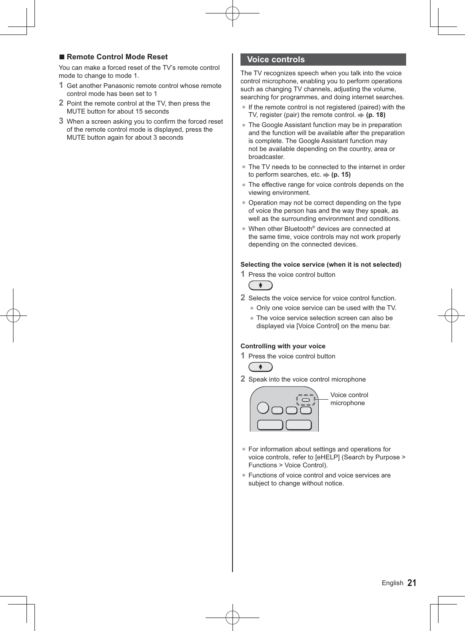## **- Remote Control Mode Reset**

You can make a forced reset of the TV's remote control mode to change to mode 1.

- **1** Get another Panasonic remote control whose remote control mode has been set to 1
- **2** Point the remote control at the TV, then press the MUTE button for about 15 seconds
- **3** When a screen asking you to confirm the forced reset of the remote control mode is displayed, press the MUTE button again for about 3 seconds

## **Voice controls**

The TV recognizes speech when you talk into the voice control microphone, enabling you to perform operations such as changing TV channels, adjusting the volume. searching for programmes, and doing internet searches.

- -If the remote control is not registered (paired) with the TV, register (pair) the remote control.  $\Rightarrow$  (p. 18)
- The Google Assistant function may be in preparation and the function will be available after the preparation is complete. The Google Assistant function may not be available depending on the country, area or broadcaster.
- The TV needs to be connected to the internet in order to perform searches, etc.  $\Rightarrow$  (p. 15)
- The effective range for voice controls depends on the viewing environment.
- Operation may not be correct depending on the type of voice the person has and the way they speak, as well as the surrounding environment and conditions.
- When other Bluetooth<sup>®</sup> devices are connected at the same time, voice controls may not work properly depending on the connected devices.

#### **Selecting the voice service (when it is not selected)**

**1** Press the voice control button



- **2** Selects the voice service for voice control function.
	- Only one voice service can be used with the TV.
	- The voice service selection screen can also be displayed via [Voice Control] on the menu bar.

#### **Controlling with your voice**

**1** Press the voice control button



**2** Speak into the voice control microphone



Voice control microphone

- -For information about settings and operations for voice controls, refer to [eHELP] (Search by Purpose > Functions > Voice Control).
- -Functions of voice control and voice services are subject to change without notice.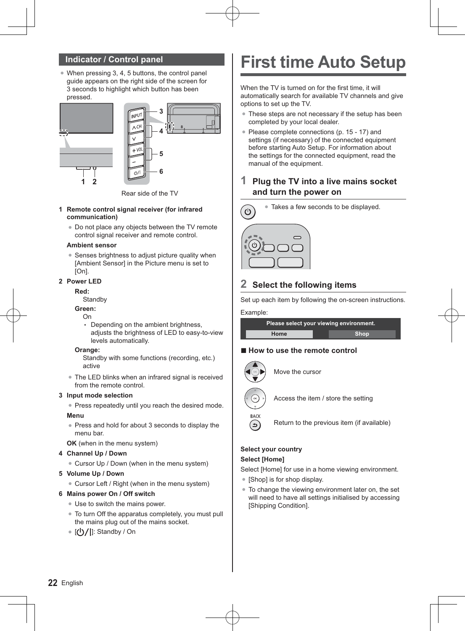## **Indicator / Control panel**

• When pressing 3, 4, 5 buttons, the control panel guide appears on the right side of the screen for 3 seconds to highlight which button has been pressed.



Rear side of the TV

- **1 Remote control signal receiver (for infrared communication)**
	- Do not place any objects between the TV remote control signal receiver and remote control.

#### **Ambient sensor**

• Senses brightness to adjust picture quality when [Ambient Sensor] in the Picture menu is set to [On].

#### **2 Power LED**

#### **Red:**

**Standby** 

#### **Green:**

- On
- Depending on the ambient brightness. adjusts the brightness of LED to easy-to-view levels automatically.

#### **Orange:**

- Standby with some functions (recording, etc.) active
- The LED blinks when an infrared signal is received from the remote control.

#### **3 Input mode selection**

-Press repeatedly until you reach the desired mode.

#### **Menu**

-Press and hold for about 3 seconds to display the menu bar.

**OK** (when in the menu system)

#### **4 Channel Up / Down**

• Cursor Up / Down (when in the menu system)

#### **5 Volume Up / Down**

• Cursor Left / Right (when in the menu system)

#### **6 Mains power On / Off switch**

- Use to switch the mains power.
- -To turn Off the apparatus completely, you must pull the mains plug out of the mains socket.
- [**①/|**]: Standby / On

## **First time Auto Setup**

When the TV is turned on for the first time, it will automatically search for available TV channels and give options to set up the TV.

- These steps are not necessary if the setup has been completed by your local dealer.
- Please complete connections (p. 15 17) and settings (if necessary) of the connected equipment before starting Auto Setup. For information about the settings for the connected equipment, read the manual of the equipment.

## **1 Plug the TV into a live mains socket and turn the power on**



## **2 Select the following items**

Set up each item by following the on-screen instructions.

#### Example:

| Please select your viewing environment. |      |  |  |
|-----------------------------------------|------|--|--|
| Home                                    | Shop |  |  |

## **- How to use the remote control**



Move the cursor



Access the item / store the setting



Return to the previous item (if available)

## **Select your country**

## **Select [Home]**

Select [Home] for use in a home viewing environment.

- -[Shop] is for shop display.
- -To change the viewing environment later on, the set will need to have all settings initialised by accessing [Shipping Condition].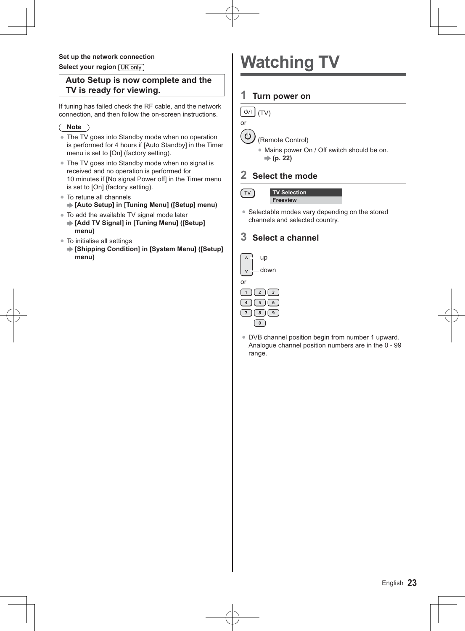#### **Set up the network connection**

**Select your region [UK only]** 

## **Auto Setup is now complete and the TV is ready for viewing.**

If tuning has failed check the RF cable, and the network connection, and then follow the on-screen instructions.

## **Note**

- The TV goes into Standby mode when no operation is performed for 4 hours if [Auto Standby] in the Timer menu is set to [On] (factory setting).
- The TV goes into Standby mode when no signal is received and no operation is performed for 10 minutes if [No signal Power off] in the Timer menu is set to [On] (factory setting).
- To retune all channels  **[Auto Setup] in [Tuning Menu] ([Setup] menu)**
- To add the available TV signal mode later
	- **[Add TV Signal] in [Tuning Menu] ([Setup] menu)**
- To initialise all settings
	- **[Shipping Condition] in [System Menu] ([Setup] menu)**

# **Watching TV**

## **1 Turn power on**

 $|_{\odot}$   $|$ (TV)



 $\sqrt{11}$ 

## (Remote Control)

-Mains power On / Off switch should be on. **(p. 22)**

## **2 Select the mode**

| <b>TV Selection</b> |
|---------------------|
| <b>Freeview</b>     |

• Selectable modes vary depending on the stored channels and selected country.

## **3 Select a channel**



• DVB channel position begin from number 1 upward. Analogue channel position numbers are in the 0 - 99 range.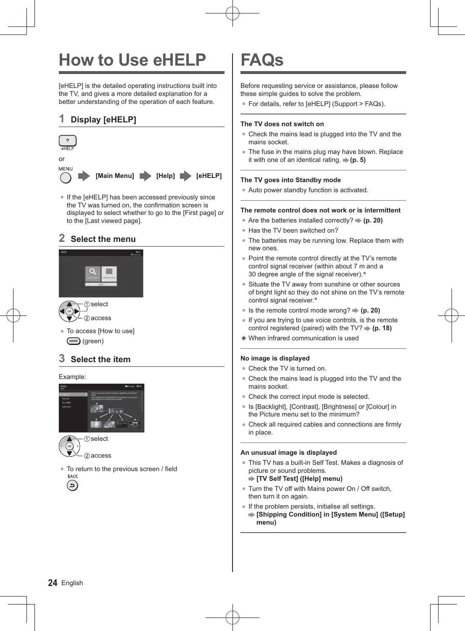# **How to Use eHELP**

[eHELP] is the detailed operating instructions built into the TV, and gives a more detailed explanation for a better understanding of the operation of each feature.

## **1 Display [eHELP]**



• If the [eHELP] has been accessed previously since the TV was turned on, the confirmation screen is displayed to select whether to go to the [First page] or to the [Last viewed page].

## **2 Select the menu**





-To access [How to use] (green)

## **3 Select the item**

#### Example:





-To return to the previous screen / field RACK دَ

# **FAQs**

Before requesting service or assistance, please follow these simple guides to solve the problem.

-For details, refer to [eHELP] (Support > FAQs).

### **The TV does not switch on**

- Check the mains lead is plugged into the TV and the mains socket.
- The fuse in the mains plug may have blown. Replace it with one of an identical rating.  $\Rightarrow$  (**p. 5**)

## **The TV goes into Standby mode**

• Auto power standby function is activated.

### **The remote control does not work or is intermittent**

- Are the batteries installed correctly? **⇒ (p. 20)**
- Has the TV been switched on?
- The batteries may be running low. Replace them with new ones.
- Point the remote control directly at the TV's remote control signal receiver (within about 7 m and a 30 degree angle of the signal receiver).\*
- Situate the TV away from sunshine or other sources of bright light so they do not shine on the TV's remote control signal receiver.\*
- Is the remote control mode wrong? **→ (p. 20)**
- -If you are trying to use voice controls, is the remote control registered (paired) with the  $TV? \Rightarrow (p. 18)$
- When infrared communication is used

#### **No image is displayed**

- Check the TV is turned on.
- Check the mains lead is plugged into the TV and the mains socket.
- Check the correct input mode is selected.
- Is [Backlight], [Contrast], [Brightness] or [Colour] in the Picture menu set to the minimum?
- -Check all required cables and connections are firmly in place.

#### **An unusual image is displayed**

-This TV has a built-in Self Test. Makes a diagnosis of picture or sound problems.

**[TV Self Test] ([Help] menu)**

- Turn the TV off with Mains power On / Off switch, then turn it on again.
- If the problem persists, initialise all settings.
	- **[Shipping Condition] in [System Menu] ([Setup] menu)**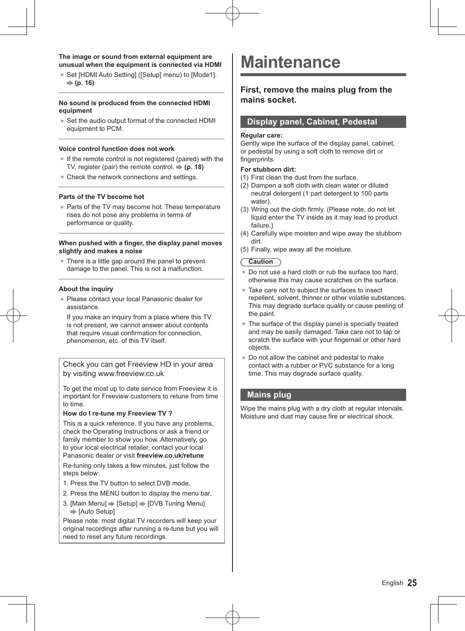#### **The image or sound from external equipment are unusual when the equipment is connected via HDMI**

● Set [HDMI Auto Setting] ([Setup] menu) to [Mode1]. **(p. 16)**

#### **No sound is produced from the connected HDMI equipment**

• Set the audio output format of the connected HDMI equipment to PCM.

#### **Voice control function does not work**

- If the remote control is not registered (paired) with the TV, register (pair) the remote control. **(p. 18)**
- Check the network connections and settings.

#### **Parts of the TV become hot**

• Parts of the TV may become hot. These temperature rises do not pose any problems in terms of performance or quality.

#### **When pushed with a finger, the display panel moves slightly and makes a noise**

• There is a little gap around the panel to prevent damage to the panel. This is not a malfunction.

#### **About the inquiry**

-Please contact your local Panasonic dealer for assistance.

If you make an inquiry from a place where this TV is not present, we cannot answer about contents that require visual confirmation for connection, phenomenon, etc. of this TV itself.

Check you can get Freeview HD in your area by visiting www.freeview.co.uk

To get the most up to date service from Freeview it is important for Freeview customers to retune from time to time.

#### **How do I re-tune my Freeview TV ?**

This is a quick reference. If you have any problems, check the Operating Instructions or ask a friend or family member to show you how. Alternatively, go to your local electrical retailer, contact your local Panasonic dealer or visit **freeview.co.uk/retune**

Re-tuning only takes a few minutes, just follow the steps below:

- 1. Press the TV button to select DVB mode.
- 2. Press the MENU button to display the menu bar.
- 3. [Main Menu]  $\Rightarrow$  [Setup]  $\Rightarrow$  [DVB Tuning Menu]  $\Rightarrow$  [Auto Setup]

Please note: most digital TV recorders will keep your original recordings after running a re-tune but you will need to reset any future recordings.

## **Maintenance**

## **First, remove the mains plug from the mains socket.**

## **Display panel, Cabinet, Pedestal**

#### **Regular care:**

Gently wipe the surface of the display panel, cabinet, or pedestal by using a soft cloth to remove dirt or fingerprints.

#### **For stubborn dirt:**

- (1) First clean the dust from the surface.
- (2) Dampen a soft cloth with clean water or diluted neutral detergent (1 part detergent to 100 parts water).
- (3) Wring out the cloth firmly. (Please note, do not let liquid enter the TV inside as it may lead to product failure.)
- (4) Carefully wipe moisten and wipe away the stubborn dirt.
- (5) Finally, wipe away all the moisture.

### **Caution**

- -Do not use a hard cloth or rub the surface too hard, otherwise this may cause scratches on the surface.
- Take care not to subject the surfaces to insect repellent, solvent, thinner or other volatile substances. This may degrade surface quality or cause peeling of the paint.
- The surface of the display panel is specially treated and may be easily damaged. Take care not to tap or scratch the surface with your fingernail or other hard objects.
- -Do not allow the cabinet and pedestal to make contact with a rubber or PVC substance for a long time. This may degrade surface quality.

## **Mains plug**

Wipe the mains plug with a dry cloth at regular intervals. Moisture and dust may cause fire or electrical shock.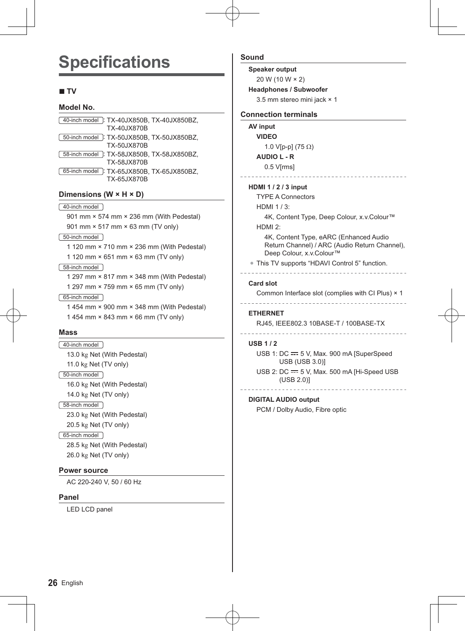# **Specifications**

## **- TV**

### **Model No.**

| [40-inch model]: TX-40JX850B, TX-40JX850BZ,<br>TX-40.IX870B |  |
|-------------------------------------------------------------|--|
| [50-inch model]: TX-50JX850B, TX-50JX850BZ,<br>TX-50.IX870B |  |
| 58-inch model : TX-58JX850B, TX-58JX850BZ.<br>TX-58.IX870B  |  |
| 65-inch model : TX-65JX850B, TX-65JX850BZ,<br>TX-65JX870B   |  |

### **Dimensions (W × H × D)**

40-inch model

901 mm × 574 mm × 236 mm (With Pedestal) 901 mm × 517 mm × 63 mm (TV only)

50-inch model

1 120 mm × 710 mm × 236 mm (With Pedestal)

1 120 mm × 651 mm × 63 mm (TV only)

#### 58-inch model

1 297 mm × 817 mm × 348 mm (With Pedestal) 1 297 mm × 759 mm × 65 mm (TV only)

#### 65-inch model

1 454 mm × 900 mm × 348 mm (With Pedestal) 1 454 mm × 843 mm × 66 mm (TV only)

#### **Mass**

40-inch model 13.0 kg Net (With Pedestal) 11.0 kg Net (TV only) 50-inch model 16.0 kg Net (With Pedestal) 14.0 kg Net (TV only) 58-inch model 23.0 kg Net (With Pedestal) 20.5 kg Net (TV only) 65-inch model 28.5 kg Net (With Pedestal) 26.0 kg Net (TV only)

#### **Power source**

AC 220-240 V, 50 / 60 Hz

#### **Panel**

LED LCD panel

## **Sound**

**Speaker output**

20 W (10 W × 2) **Headphones / Subwoofer**

3.5 mm stereo mini jack × 1

#### **Connection terminals**

**AV input VIDEO** 1.0 V[p-p] (75 $\Omega$ ) **AUDIO L - R** 0.5 V[rms]

### **HDMI 1 / 2 / 3 input**

TYPE A Connectors

HDMI 1 / 3: 4K, Content Type, Deep Colour, x.v.Colour™

### HDMI 2:

4K, Content Type, eARC (Enhanced Audio Return Channel) / ARC (Audio Return Channel), Deep Colour, x.v.Colour™

• This TV supports "HDAVI Control 5" function.

#### 

#### **Card slot**

Common Interface slot (complies with CI Plus) × 1

#### **ETHERNET**

RJ45, IEEE802.3 10BASE-T / 100BASE-TX

#### 

#### **USB 1 / 2**

USB 1:  $DC = 5$  V, Max. 900 mA [SuperSpeed] USB (USB 3.0)]

USB 2:  $DC = 5$  V, Max. 500 mA [Hi-Speed USB (USB 2.0)]

## **DIGITAL AUDIO output**

PCM / Dolby Audio, Fibre optic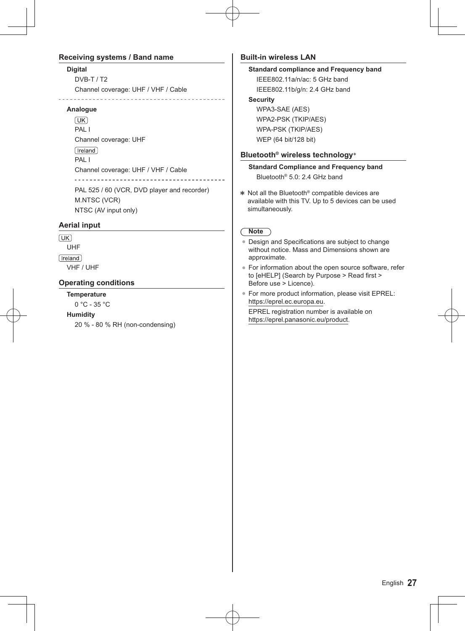## **Receiving systems / Band name**

#### **Digital**

DVB-T / T2 Channel coverage: UHF / VHF / Cable <u>. . . . . . . . . . . . .</u> <u>. . . . . . . . . . . . .</u>

#### **Analogue**

 $(TK)$ PAL I Channel coverage: UHF [Ireland] PAL I Channel coverage: UHF / VHF / Cable <u>. . . . . . . . . . . . . . . . .</u> PAL 525 / 60 (VCR, DVD player and recorder) M.NTSC (VCR)

NTSC (AV input only)

## **Aerial input**

 $\sqrt{UK}$ 

UHF **Treland** 

VHF / UHF

## **Operating conditions**

### **Temperature**

0 °C - 35 °C

### **Humidity**

20 % - 80 % RH (non-condensing)

## **Built-in wireless LAN**

## **Standard compliance and Frequency band**

IEEE802.11a/n/ac: 5 GHz band IEEE802.11b/g/n: 2.4 GHz band **Security**  WPA3-SAE (AES) WPA2-PSK (TKIP/AES) WPA-PSK (TKIP/AES) WEP (64 bit/128 bit)

**Bluetooth® wireless technology**\*

**Standard Compliance and Frequency band** Bluetooth® 5.0: 2.4 GHz band

 Not all the Bluetooth® compatible devices are available with this TV. Up to 5 devices can be used simultaneously.

## **Note**

- Design and Specifications are subject to change without notice. Mass and Dimensions shown are approximate.
- -For information about the open source software, refer to [eHELP] (Search by Purpose > Read first > Before use > Licence).
- -For more product information, please visit EPREL: https://eprel.ec.europa.eu.

EPREL registration number is available on https://eprel.panasonic.eu/product.